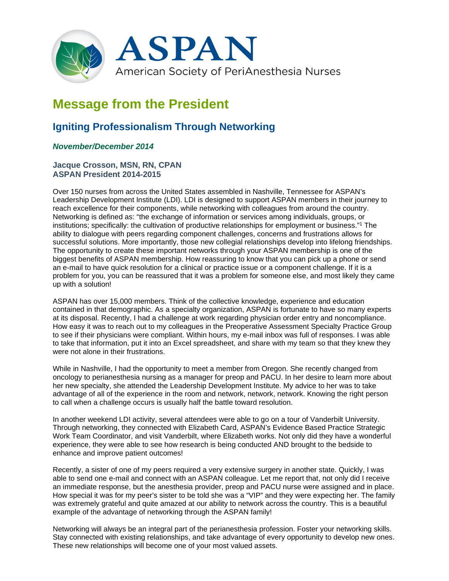

# **Message from the President**

# **Igniting Professionalism Through Networking**

## *November/December 2014*

### **Jacque Crosson, MSN, RN, CPAN ASPAN President 2014-2015**

Over 150 nurses from across the United States assembled in Nashville, Tennessee for ASPAN's Leadership Development Institute (LDI). LDI is designed to support ASPAN members in their journey to reach excellence for their components, while networking with colleagues from around the country. Networking is defined as: "the exchange of information or services among individuals, groups, or institutions; specifically: the cultivation of productive relationships for employment or business."1 The ability to dialogue with peers regarding component challenges, concerns and frustrations allows for successful solutions. More importantly, those new collegial relationships develop into lifelong friendships. The opportunity to create these important networks through your ASPAN membership is one of the biggest benefits of ASPAN membership. How reassuring to know that you can pick up a phone or send an e-mail to have quick resolution for a clinical or practice issue or a component challenge. If it is a problem for you, you can be reassured that it was a problem for someone else, and most likely they came up with a solution!

ASPAN has over 15,000 members. Think of the collective knowledge, experience and education contained in that demographic. As a specialty organization, ASPAN is fortunate to have so many experts at its disposal. Recently, I had a challenge at work regarding physician order entry and noncompliance. How easy it was to reach out to my colleagues in the Preoperative Assessment Specialty Practice Group to see if their physicians were compliant. Within hours, my e-mail inbox was full of responses. I was able to take that information, put it into an Excel spreadsheet, and share with my team so that they knew they were not alone in their frustrations.

While in Nashville, I had the opportunity to meet a member from Oregon. She recently changed from oncology to perianesthesia nursing as a manager for preop and PACU. In her desire to learn more about her new specialty, she attended the Leadership Development Institute. My advice to her was to take advantage of all of the experience in the room and network, network, network. Knowing the right person to call when a challenge occurs is usually half the battle toward resolution.

In another weekend LDI activity, several attendees were able to go on a tour of Vanderbilt University. Through networking, they connected with Elizabeth Card, ASPAN's Evidence Based Practice Strategic Work Team Coordinator, and visit Vanderbilt, where Elizabeth works. Not only did they have a wonderful experience, they were able to see how research is being conducted AND brought to the bedside to enhance and improve patient outcomes!

Recently, a sister of one of my peers required a very extensive surgery in another state. Quickly, I was able to send one e-mail and connect with an ASPAN colleague. Let me report that, not only did I receive an immediate response, but the anesthesia provider, preop and PACU nurse were assigned and in place. How special it was for my peer's sister to be told she was a "VIP" and they were expecting her. The family was extremely grateful and quite amazed at our ability to network across the country. This is a beautiful example of the advantage of networking through the ASPAN family!

Networking will always be an integral part of the perianesthesia profession. Foster your networking skills. Stay connected with existing relationships, and take advantage of every opportunity to develop new ones. These new relationships will become one of your most valued assets.